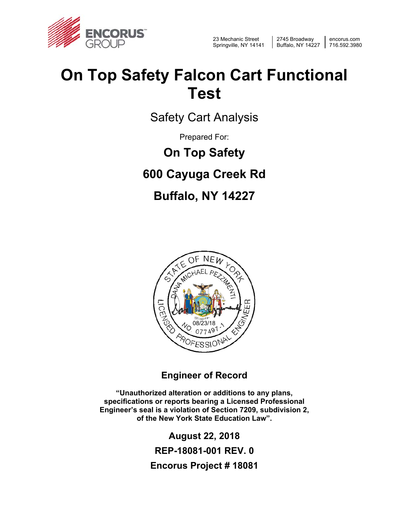

23 Mechanic Street Springville, NY 14141

2745 Broadway Buffalo, NY 14227

encorus.com 716.592.3980

# **On Top Safety Falcon Cart Functional Test**

Safety Cart Analysis

Prepared For:

## **On Top Safety**

## **600 Cayuga Creek Rd**

## **Buffalo, NY 14227**



### **Engineer of Record**

**"Unauthorized alteration or additions to any plans, specifications or reports bearing a Licensed Professional Engineer's seal is a violation of Section 7209, subdivision 2, of the New York State Education Law".** 

> **August 22, 2018 REP-18081-001 REV. 0 Encorus Project # 18081**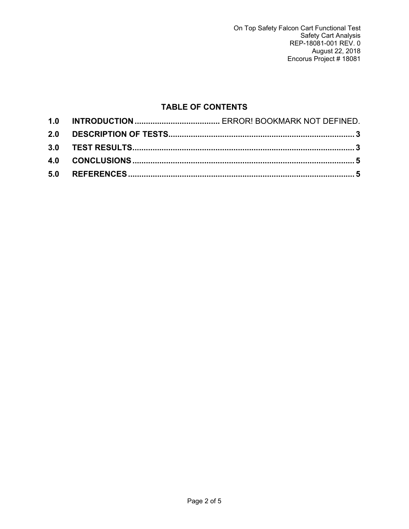#### **TABLE OF CONTENTS**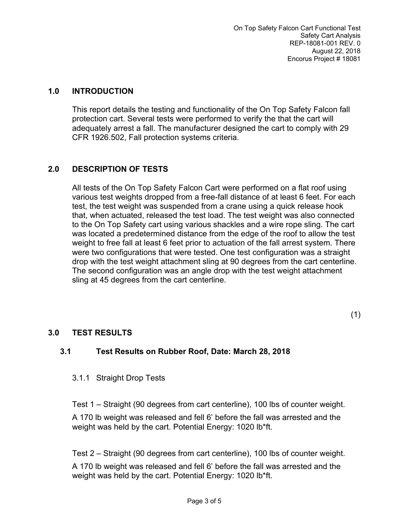#### **1.0 INTRODUCTION**

This report details the testing and functionality of the On Top Safety Falcon fall protection cart. Several tests were performed to verify the that the cart will adequately arrest a fall. The manufacturer designed the cart to comply with 29 CFR 1926.502, Fall protection systems criteria.

#### **2.0 DESCRIPTION OF TESTS**

All tests of the On Top Safety Falcon Cart were performed on a flat roof using various test weights dropped from a free-fall distance of at least 6 feet. For each test, the test weight was suspended from a crane using a quick release hook that, when actuated, released the test load. The test weight was also connected to the On Top Safety cart using various shackles and a wire rope sling. The cart was located a predetermined distance from the edge of the roof to allow the test weight to free fall at least 6 feet prior to actuation of the fall arrest system. There were two configurations that were tested. One test configuration was a straight drop with the test weight attachment sling at 90 degrees from the cart centerline. The second configuration was an angle drop with the test weight attachment sling at 45 degrees from the cart centerline.

 $(1)$ 

#### **3.0 TEST RESULTS**

#### **3.1 Test Results on Rubber Roof, Date: March 28, 2018**

#### 3.1.1 Straight Drop Tests

Test 1 – Straight (90 degrees from cart centerline), 100 lbs of counter weight.

A 170 lb weight was released and fell 6' before the fall was arrested and the weight was held by the cart. Potential Energy: 1020 lb\*ft.

Test 2 – Straight (90 degrees from cart centerline), 100 lbs of counter weight.

A 170 lb weight was released and fell 6' before the fall was arrested and the weight was held by the cart. Potential Energy: 1020 lb\*ft.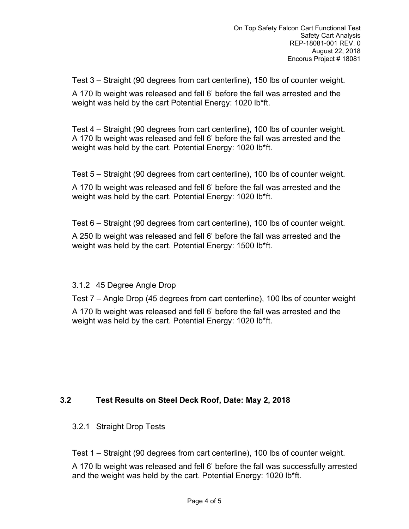Test 3 – Straight (90 degrees from cart centerline), 150 lbs of counter weight.

A 170 lb weight was released and fell 6' before the fall was arrested and the weight was held by the cart Potential Energy: 1020 lb\*ft.

Test 4 – Straight (90 degrees from cart centerline), 100 lbs of counter weight. A 170 lb weight was released and fell 6' before the fall was arrested and the weight was held by the cart. Potential Energy: 1020 lb\*ft.

Test 5 – Straight (90 degrees from cart centerline), 100 lbs of counter weight.

A 170 lb weight was released and fell 6' before the fall was arrested and the weight was held by the cart. Potential Energy: 1020 lb\*ft.

Test 6 – Straight (90 degrees from cart centerline), 100 lbs of counter weight.

A 250 lb weight was released and fell 6' before the fall was arrested and the weight was held by the cart. Potential Energy: 1500 lb\*ft.

3.1.2 45 Degree Angle Drop

Test 7 – Angle Drop (45 degrees from cart centerline), 100 lbs of counter weight

A 170 lb weight was released and fell 6' before the fall was arrested and the weight was held by the cart. Potential Energy: 1020 lb\*ft.

#### **3.2 Test Results on Steel Deck Roof, Date: May 2, 2018**

#### 3.2.1 Straight Drop Tests

Test 1 – Straight (90 degrees from cart centerline), 100 lbs of counter weight.

A 170 lb weight was released and fell 6' before the fall was successfully arrested and the weight was held by the cart. Potential Energy: 1020 lb\*ft.